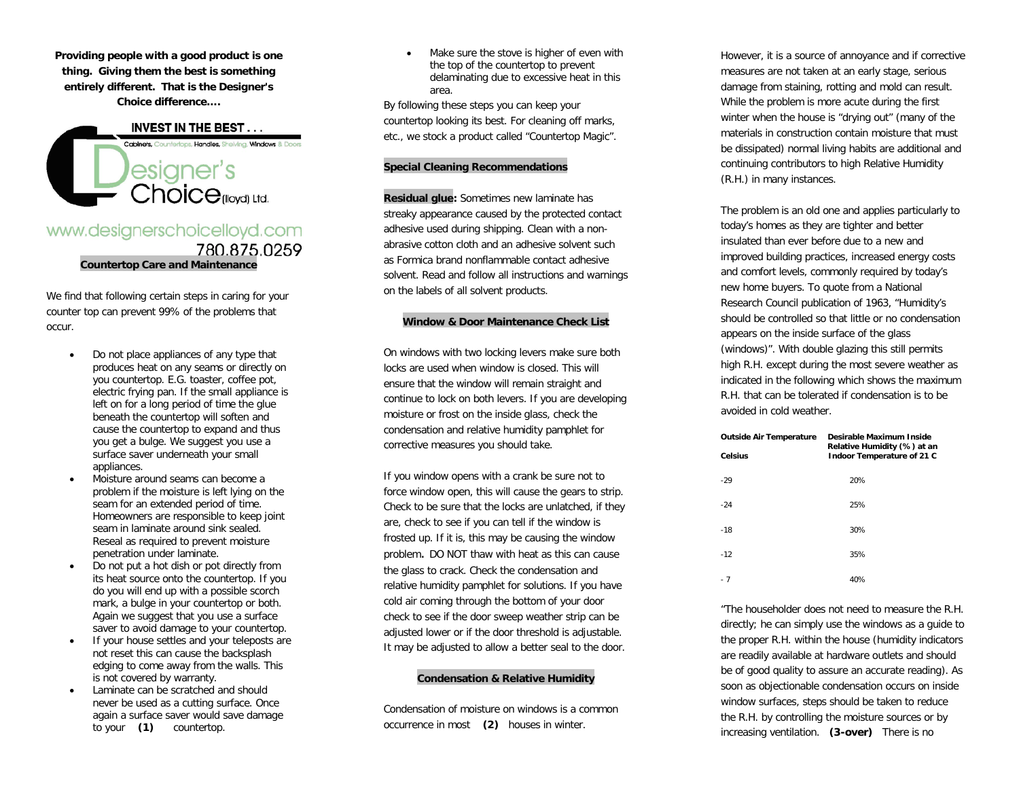**Providing people with a good product is one thing. Giving them the best is something entirely different. That is the Designer's Choice difference….**

**INVEST IN THE BEST...** Cabinets, Counterlops, Handles, Sheiving, Windows & Doors **esigner's**<br>Choice<sub>(lloya) Ltd.</sub>

# www.designerschoicelloyd.com 780.875.0259 **Countertop Care and Maintenance**

We find that following certain steps in caring for your counter top can prevent 99% of the problems that occur.

- Do not place appliances of any type that produces heat on any seams or directly on you countertop. E.G. toaster, coffee pot, electric frying pan. If the small appliance is left on for a long period of time the glue beneath the countertop will soften and cause the countertop to expand and thus you get a bulge. We suggest you use a surface saver underneath your small appliances.
- Moisture around seams can become a problem if the moisture is left lying on the seam for an extended period of time. Homeowners are responsible to keep joint seam in laminate around sink sealed. Reseal as required to prevent moisture penetration under laminate.
- Do not put a hot dish or pot directly from its heat source onto the countertop. If you do you will end up with a possible scorch mark, a bulge in your countertop or both. Again we suggest that you use a surface saver to avoid damage to your countertop.
- If your house settles and your teleposts are not reset this can cause the backsplash edging to come away from the walls. This is not covered by warranty.
- Laminate can be scratched and should never be used as a cutting surface. Once again a surface saver would save damage to your **(1)** countertop.

Make sure the stove is higher of even with the top of the countertop to prevent delaminating due to excessive heat in this area.

By following these steps you can keep your countertop looking its best. For cleaning off marks, etc., we stock a product called "Countertop Magic".

## **Special Cleaning Recommendations**

**Residual glue:** Sometimes new laminate has streaky appearance caused by the protected contact adhesive used during shipping. Clean with a nonabrasive cotton cloth and an adhesive solvent such as Formica brand nonflammable contact adhesive solvent. Read and follow all instructions and warnings on the labels of all solvent products.

#### **Window & Door Maintenance Check List**

On windows with two locking levers make sure both locks are used when window is closed. This will ensure that the window will remain straight and continue to lock on both levers. If you are developing moisture or frost on the inside glass, check the condensation and relative humidity pamphlet for corrective measures you should take.

If you window opens with a crank be sure not to force window open, this will cause the gears to strip. Check to be sure that the locks are unlatched, if they are, check to see if you can tell if the window is frosted up. If it is, this may be causing the window problem. DO NOT thaw with heat as this can cause the glass to crack. Check the condensation and relative humidity pamphlet for solutions. If you have cold air coming through the bottom of your door check to see if the door sweep weather strip can be adjusted lower or if the door threshold is adjustable. It may be adjusted to allow a better seal to the door.

## **Condensation & Relative Humidity**

Condensation of moisture on windows is a common occurrence in most **(2)** houses in winter.

However, it is a source of annoyance and if corrective measures are not taken at an early stage, serious damage from staining, rotting and mold can result. While the problem is more acute during the first winter when the house is "drying out" (many of the materials in construction contain moisture that must be dissipated) normal living habits are additional and continuing contributors to high Relative Humidity (R.H.) in many instances.

The problem is an old one and applies particularly to today's homes as they are tighter and better insulated than ever before due to a new and improved building practices, increased energy costs and comfort levels, commonly required by today's new home buyers. To quote from a National Research Council publication of 1963, "Humidity's should be controlled so that little or no condensation appears on the inside surface of the glass (windows)". With double glazing this still permits high R.H. except during the most severe weather as indicated in the following which shows the maximum R.H. that can be tolerated if condensation is to be avoided in cold weather.

| <b>Outside Air Temperature</b> | Desirable Maximum Inside<br>Relative Humidity (%) at an |
|--------------------------------|---------------------------------------------------------|
| Celsius                        | Indoor Temperature of 21 C                              |
| $-29$                          | 20%                                                     |
| $-24$                          | 25%                                                     |
| $-18$                          | 30%                                                     |
| $-12$                          | 35%                                                     |
| $-7$                           | 40%                                                     |

"The householder does not need to measure the R.H. directly; he can simply use the windows as a guide to the proper R.H. within the house (humidity indicators are readily available at hardware outlets and should be of good quality to assure an accurate reading). As soon as objectionable condensation occurs on inside window surfaces, steps should be taken to reduce the R.H. by controlling the moisture sources or by increasing ventilation. **(3-over)** There is no